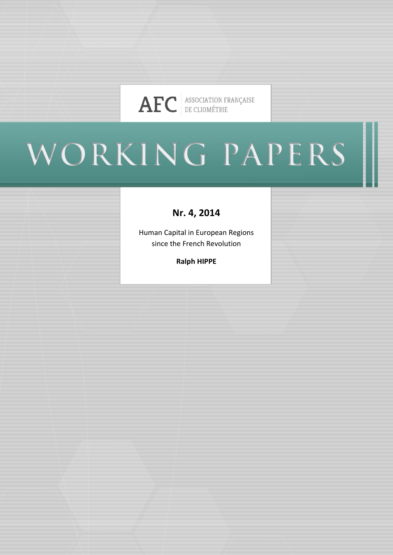

# WORKING PAPERS

## **Nr. 4, 2014**

Human Capital in European Regions since the French Revolution

**Ralph HIPPE**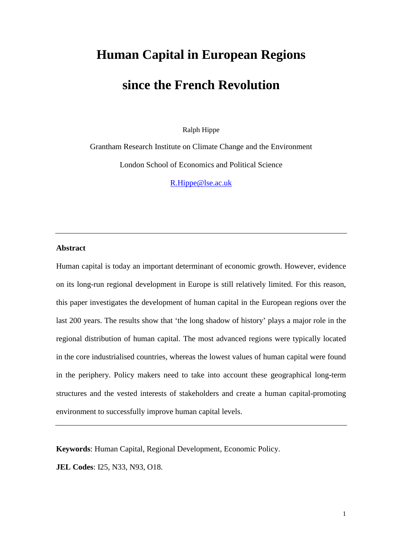## **Human Capital in European Regions**

## **since the French Revolution**

Ralph Hippe

Grantham Research Institute on Climate Change and the Environment London School of Economics and Political Science

[R.Hippe@lse.ac.uk](mailto:R.Hippe@lse.ac.uk)

#### **Abstract**

Human capital is today an important determinant of economic growth. However, evidence on its long-run regional development in Europe is still relatively limited. For this reason, this paper investigates the development of human capital in the European regions over the last 200 years. The results show that 'the long shadow of history' plays a major role in the regional distribution of human capital. The most advanced regions were typically located in the core industrialised countries, whereas the lowest values of human capital were found in the periphery. Policy makers need to take into account these geographical long-term structures and the vested interests of stakeholders and create a human capital-promoting environment to successfully improve human capital levels.

**Keywords**: Human Capital, Regional Development, Economic Policy.

**JEL Codes**: I25, N33, N93, O18.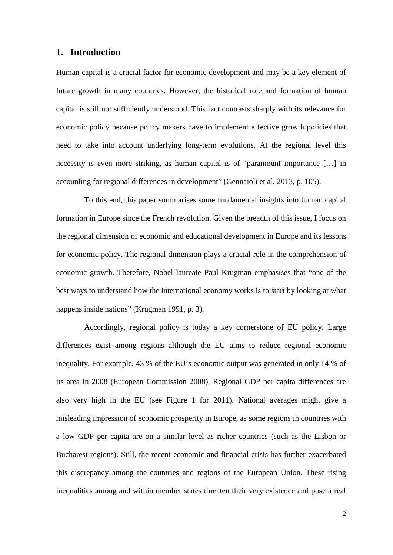#### **1. Introduction**

Human capital is a crucial factor for economic development and may be a key element of future growth in many countries. However, the historical role and formation of human capital is still not sufficiently understood. This fact contrasts sharply with its relevance for economic policy because policy makers have to implement effective growth policies that need to take into account underlying long-term evolutions. At the regional level this necessity is even more striking, as human capital is of "paramount importance […] in accounting for regional differences in development" (Gennaioli et al. 2013, p. 105).

To this end, this paper summarises some fundamental insights into human capital formation in Europe since the French revolution. Given the breadth of this issue, I focus on the regional dimension of economic and educational development in Europe and its lessons for economic policy. The regional dimension plays a crucial role in the comprehension of economic growth. Therefore, Nobel laureate Paul Krugman emphasises that "one of the best ways to understand how the international economy works is to start by looking at what happens inside nations" (Krugman 1991, p. 3).

<span id="page-2-0"></span>Accordingly, regional policy is today a key cornerstone of EU policy. Large differences exist among regions although the EU aims to reduce regional economic inequality. For example, 43 % of the EU's economic output was generated in only 14 % of its area in 2008 (European Commission 2008). Regional GDP per capita differences are also very high in the EU (see [Figure 1](#page-31-0) for 2011). National averages might give a misleading impression of economic prosperity in Europe, as some regions in countries with a low GDP per capita are on a similar level as richer countries (such as the Lisbon or Bucharest regions). Still, the recent economic and financial crisis has further exacerbated this discrepancy among the countries and regions of the European Union. These rising inequalities among and within member states threaten their very existence and pose a real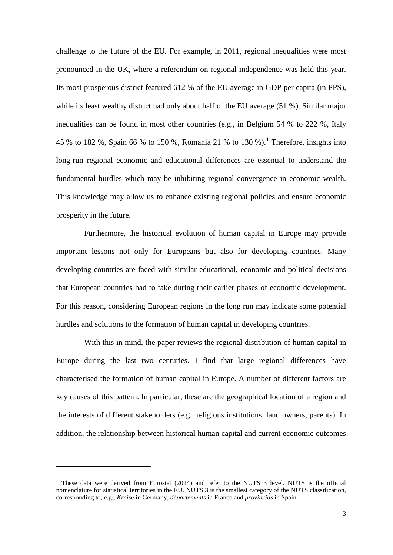challenge to the future of the EU. For example, in 2011, regional inequalities were most pronounced in the UK, where a referendum on regional independence was held this year. Its most prosperous district featured 612 % of the EU average in GDP per capita (in PPS), while its least wealthy district had only about half of the EU average (51 %). Similar major inequalities can be found in most other countries (e.g., in Belgium 54 % to 222 %, Italy 45 % to [1](#page-2-0)82 %, Spain 66 % to 150 %, Romania 21 % to 130 %).<sup>1</sup> Therefore, insights into long-run regional economic and educational differences are essential to understand the fundamental hurdles which may be inhibiting regional convergence in economic wealth. This knowledge may allow us to enhance existing regional policies and ensure economic prosperity in the future.

Furthermore, the historical evolution of human capital in Europe may provide important lessons not only for Europeans but also for developing countries. Many developing countries are faced with similar educational, economic and political decisions that European countries had to take during their earlier phases of economic development. For this reason, considering European regions in the long run may indicate some potential hurdles and solutions to the formation of human capital in developing countries.

With this in mind, the paper reviews the regional distribution of human capital in Europe during the last two centuries. I find that large regional differences have characterised the formation of human capital in Europe. A number of different factors are key causes of this pattern. In particular, these are the geographical location of a region and the interests of different stakeholders (e.g., religious institutions, land owners, parents). In addition, the relationship between historical human capital and current economic outcomes

<span id="page-3-0"></span><u>.</u>

<sup>&</sup>lt;sup>1</sup> These data were derived from Eurostat (2014) and refer to the NUTS 3 level. NUTS is the official nomenclature for statistical territories in the EU. NUTS 3 is the smallest category of the NUTS classification, corresponding to, e.g., *Kreise* in Germany, *départements* in France and *provincias* in Spain.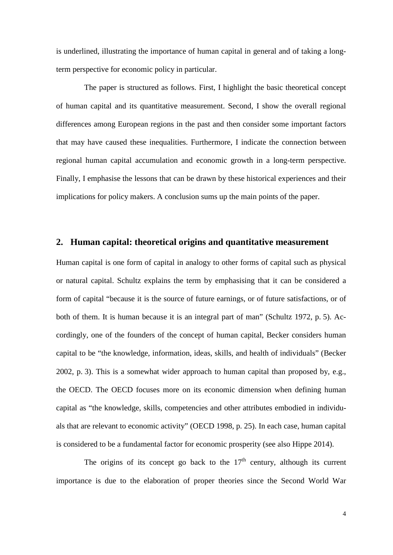is underlined, illustrating the importance of human capital in general and of taking a longterm perspective for economic policy in particular.

The paper is structured as follows. First, I highlight the basic theoretical concept of human capital and its quantitative measurement. Second, I show the overall regional differences among European regions in the past and then consider some important factors that may have caused these inequalities. Furthermore, I indicate the connection between regional human capital accumulation and economic growth in a long-term perspective. Finally, I emphasise the lessons that can be drawn by these historical experiences and their implications for policy makers. A conclusion sums up the main points of the paper.

#### **2. Human capital: theoretical origins and quantitative measurement**

Human capital is one form of capital in analogy to other forms of capital such as physical or natural capital. Schultz explains the term by emphasising that it can be considered a form of capital "because it is the source of future earnings, or of future satisfactions, or of both of them. It is human because it is an integral part of man" (Schultz 1972, p. 5). Accordingly, one of the founders of the concept of human capital, Becker considers human capital to be "the knowledge, information, ideas, skills, and health of individuals" (Becker 2002, p. 3). This is a somewhat wider approach to human capital than proposed by, e.g., the OECD. The OECD focuses more on its economic dimension when defining human capital as "the knowledge, skills, competencies and other attributes embodied in individuals that are relevant to economic activity" (OECD 1998, p. 25). In each case, human capital is considered to be a fundamental factor for economic prosperity (see also Hippe 2014).

The origins of its concept go back to the  $17<sup>th</sup>$  century, although its current importance is due to the elaboration of proper theories since the Second World War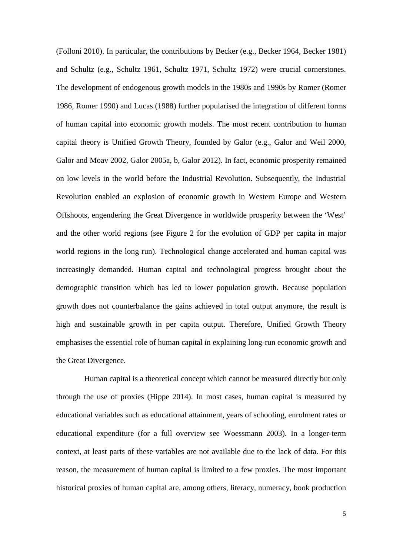(Folloni 2010). In particular, the contributions by Becker (e.g., Becker 1964, Becker 1981) and Schultz (e.g., Schultz 1961, Schultz 1971, Schultz 1972) were crucial cornerstones. The development of endogenous growth models in the 1980s and 1990s by Romer (Romer 1986, Romer 1990) and Lucas (1988) further popularised the integration of different forms of human capital into economic growth models. The most recent contribution to human capital theory is Unified Growth Theory, founded by Galor (e.g., Galor and Weil 2000, Galor and Moav 2002, Galor 2005a, b, Galor 2012). In fact, economic prosperity remained on low levels in the world before the Industrial Revolution. Subsequently, the Industrial Revolution enabled an explosion of economic growth in Western Europe and Western Offshoots, engendering the Great Divergence in worldwide prosperity between the 'West' and the other world regions (see [Figure 2](#page-32-0) for the evolution of GDP per capita in major world regions in the long run). Technological change accelerated and human capital was increasingly demanded. Human capital and technological progress brought about the demographic transition which has led to lower population growth. Because population growth does not counterbalance the gains achieved in total output anymore, the result is high and sustainable growth in per capita output. Therefore, Unified Growth Theory emphasises the essential role of human capital in explaining long-run economic growth and the Great Divergence.

Human capital is a theoretical concept which cannot be measured directly but only through the use of proxies (Hippe 2014). In most cases, human capital is measured by educational variables such as educational attainment, years of schooling, enrolment rates or educational expenditure (for a full overview see Woessmann 2003). In a longer-term context, at least parts of these variables are not available due to the lack of data. For this reason, the measurement of human capital is limited to a few proxies. The most important historical proxies of human capital are, among others, literacy, numeracy, book production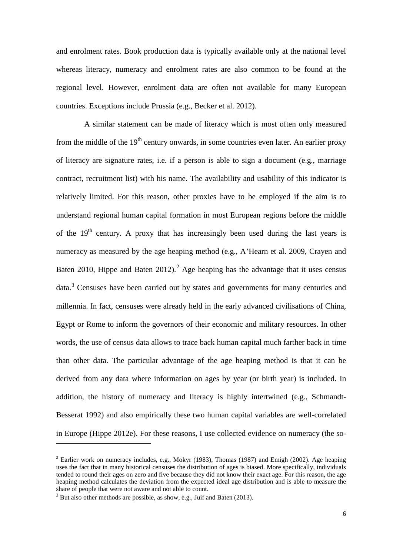and enrolment rates. Book production data is typically available only at the national level whereas literacy, numeracy and enrolment rates are also common to be found at the regional level. However, enrolment data are often not available for many European countries. Exceptions include Prussia (e.g., Becker et al. 2012).

A similar statement can be made of literacy which is most often only measured from the middle of the  $19<sup>th</sup>$  century onwards, in some countries even later. An earlier proxy of literacy are signature rates, i.e. if a person is able to sign a document (e.g., marriage contract, recruitment list) with his name. The availability and usability of this indicator is relatively limited. For this reason, other proxies have to be employed if the aim is to understand regional human capital formation in most European regions before the middle of the 19<sup>th</sup> century. A proxy that has increasingly been used during the last years is numeracy as measured by the age heaping method (e.g., A'Hearn et al. 2009, Crayen and Baten [2](#page-3-0)010, Hippe and Baten 2012).<sup>2</sup> Age heaping has the advantage that it uses census data.<sup>[3](#page-6-0)</sup> Censuses have been carried out by states and governments for many centuries and millennia. In fact, censuses were already held in the early advanced civilisations of China, Egypt or Rome to inform the governors of their economic and military resources. In other words, the use of census data allows to trace back human capital much farther back in time than other data. The particular advantage of the age heaping method is that it can be derived from any data where information on ages by year (or birth year) is included. In addition, the history of numeracy and literacy is highly intertwined (e.g., Schmandt-Besserat 1992) and also empirically these two human capital variables are well-correlated in Europe (Hippe 2012e). For these reasons, I use collected evidence on numeracy (the so-

1

<span id="page-6-1"></span><sup>&</sup>lt;sup>2</sup> Earlier work on numeracy includes, e.g., Mokyr (1983), Thomas (1987) and Emigh (2002). Age heaping uses the fact that in many historical censuses the distribution of ages is biased. More specifically, individuals tended to round their ages on zero and five because they did not know their exact age. For this reason, the age heaping method calculates the deviation from the expected ideal age distribution and is able to measure the share of people that were not aware and not able to count.

<span id="page-6-0"></span> $3$  But also other methods are possible, as show, e.g., Juif and Baten (2013).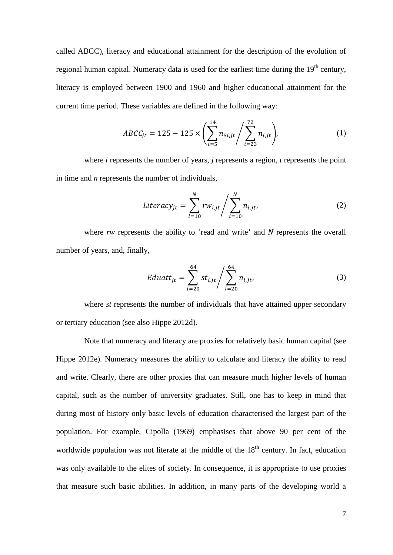called ABCC), literacy and educational attainment for the description of the evolution of regional human capital. Numeracy data is used for the earliest time during the  $19<sup>th</sup>$  century, literacy is employed between 1900 and 1960 and higher educational attainment for the current time period. These variables are defined in the following way:

$$
ABCC_{jt} = 125 - 125 \times \left(\sum_{i=5}^{14} n_{5i,jt} / \sum_{i=23}^{72} n_{i,jt}\right),\tag{1}
$$

where *i* represents the number of years, *j* represents a region, *t* represents the point in time and *n* represents the number of individuals,

$$
Literacy_{jt} = \sum_{i=10}^{N} rw_{i,jt} / \sum_{i=10}^{N} n_{i,jt},
$$
 (2)

where *rw* represents the ability to 'read and write' and *N* represents the overall number of years, and, finally,

$$
Eduatt_{jt} = \sum_{i=20}^{64} st_{i,jt} / \sum_{i=20}^{64} n_{i,jt},
$$
 (3)

where *st* represents the number of individuals that have attained upper secondary or tertiary education (see also Hippe 2012d).

Note that numeracy and literacy are proxies for relatively basic human capital (see Hippe 2012e). Numeracy measures the ability to calculate and literacy the ability to read and write. Clearly, there are other proxies that can measure much higher levels of human capital, such as the number of university graduates. Still, one has to keep in mind that during most of history only basic levels of education characterised the largest part of the population. For example, Cipolla (1969) emphasises that above 90 per cent of the worldwide population was not literate at the middle of the  $18<sup>th</sup>$  century. In fact, education was only available to the elites of society. In consequence, it is appropriate to use proxies that measure such basic abilities. In addition, in many parts of the developing world a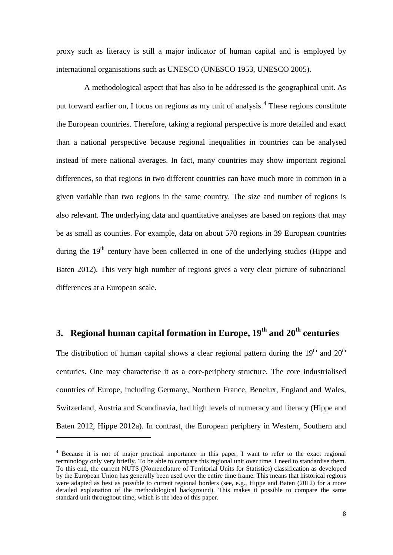proxy such as literacy is still a major indicator of human capital and is employed by international organisations such as UNESCO (UNESCO 1953, UNESCO 2005).

A methodological aspect that has also to be addressed is the geographical unit. As put forward earlier on, I focus on regions as my unit of analysis.<sup>[4](#page-6-1)</sup> These regions constitute the European countries. Therefore, taking a regional perspective is more detailed and exact than a national perspective because regional inequalities in countries can be analysed instead of mere national averages. In fact, many countries may show important regional differences, so that regions in two different countries can have much more in common in a given variable than two regions in the same country. The size and number of regions is also relevant. The underlying data and quantitative analyses are based on regions that may be as small as counties. For example, data on about 570 regions in 39 European countries during the  $19<sup>th</sup>$  century have been collected in one of the underlying studies (Hippe and Baten 2012). This very high number of regions gives a very clear picture of subnational differences at a European scale.

### **3. Regional human capital formation in Europe, 19th and 20th centuries**

The distribution of human capital shows a clear regional pattern during the  $19<sup>th</sup>$  and  $20<sup>th</sup>$ centuries. One may characterise it as a core-periphery structure. The core industrialised countries of Europe, including Germany, Northern France, Benelux, England and Wales, Switzerland, Austria and Scandinavia, had high levels of numeracy and literacy (Hippe and Baten 2012, Hippe 2012a). In contrast, the European periphery in Western, Southern and

<u>.</u>

<span id="page-8-0"></span><sup>4</sup> Because it is not of major practical importance in this paper, I want to refer to the exact regional terminology only very briefly. To be able to compare this regional unit over time, I need to standardise them. To this end, the current NUTS (Nomenclature of Territorial Units for Statistics) classification as developed by the European Union has generally been used over the entire time frame. This means that historical regions were adapted as best as possible to current regional borders (see, e.g., Hippe and Baten (2012) for a more detailed explanation of the methodological background). This makes it possible to compare the same standard unit throughout time, which is the idea of this paper.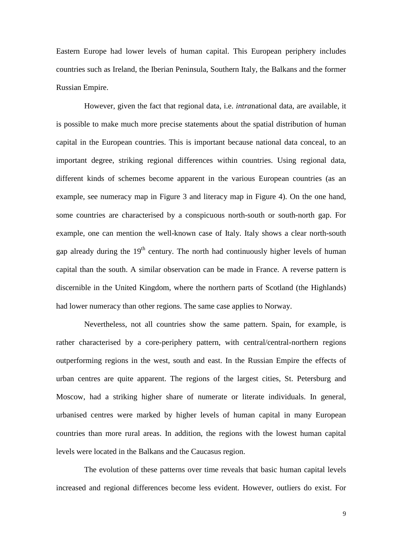Eastern Europe had lower levels of human capital. This European periphery includes countries such as Ireland, the Iberian Peninsula, Southern Italy, the Balkans and the former Russian Empire.

However, given the fact that regional data, i.e. *intra*national data, are available, it is possible to make much more precise statements about the spatial distribution of human capital in the European countries. This is important because national data conceal, to an important degree, striking regional differences within countries. Using regional data, different kinds of schemes become apparent in the various European countries (as an example, see numeracy map in [Figure 3](#page-33-0) and literacy map in [Figure 4\)](#page-34-0). On the one hand, some countries are characterised by a conspicuous north-south or south-north gap. For example, one can mention the well-known case of Italy. Italy shows a clear north-south gap already during the  $19<sup>th</sup>$  century. The north had continuously higher levels of human capital than the south. A similar observation can be made in France. A reverse pattern is discernible in the United Kingdom, where the northern parts of Scotland (the Highlands) had lower numeracy than other regions. The same case applies to Norway.

Nevertheless, not all countries show the same pattern. Spain, for example, is rather characterised by a core-periphery pattern, with central/central-northern regions outperforming regions in the west, south and east. In the Russian Empire the effects of urban centres are quite apparent. The regions of the largest cities, St. Petersburg and Moscow, had a striking higher share of numerate or literate individuals. In general, urbanised centres were marked by higher levels of human capital in many European countries than more rural areas. In addition, the regions with the lowest human capital levels were located in the Balkans and the Caucasus region.

The evolution of these patterns over time reveals that basic human capital levels increased and regional differences become less evident. However, outliers do exist. For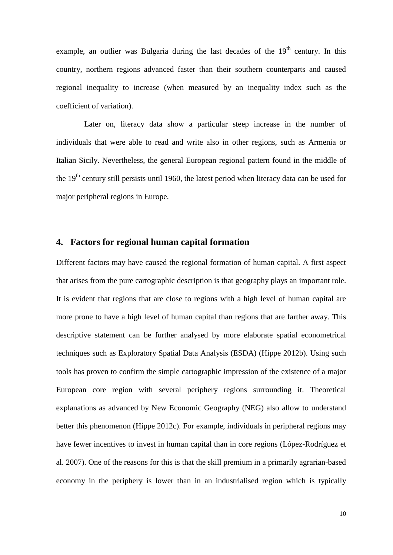example, an outlier was Bulgaria during the last decades of the  $19<sup>th</sup>$  century. In this country, northern regions advanced faster than their southern counterparts and caused regional inequality to increase (when measured by an inequality index such as the coefficient of variation).

Later on, literacy data show a particular steep increase in the number of individuals that were able to read and write also in other regions, such as Armenia or Italian Sicily. Nevertheless, the general European regional pattern found in the middle of the 19<sup>th</sup> century still persists until 1960, the latest period when literacy data can be used for major peripheral regions in Europe.

#### **4. Factors for regional human capital formation**

Different factors may have caused the regional formation of human capital. A first aspect that arises from the pure cartographic description is that geography plays an important role. It is evident that regions that are close to regions with a high level of human capital are more prone to have a high level of human capital than regions that are farther away. This descriptive statement can be further analysed by more elaborate spatial econometrical techniques such as Exploratory Spatial Data Analysis (ESDA) (Hippe 2012b). Using such tools has proven to confirm the simple cartographic impression of the existence of a major European core region with several periphery regions surrounding it. Theoretical explanations as advanced by New Economic Geography (NEG) also allow to understand better this phenomenon (Hippe 2012c). For example, individuals in peripheral regions may have fewer incentives to invest in human capital than in core regions (López-Rodríguez et al. 2007). One of the reasons for this is that the skill premium in a primarily agrarian-based economy in the periphery is lower than in an industrialised region which is typically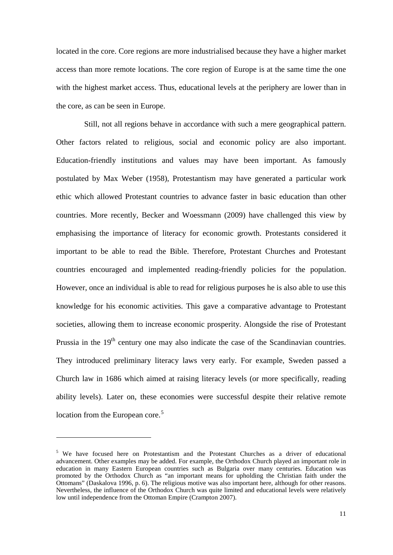located in the core. Core regions are more industrialised because they have a higher market access than more remote locations. The core region of Europe is at the same time the one with the highest market access. Thus, educational levels at the periphery are lower than in the core, as can be seen in Europe.

Still, not all regions behave in accordance with such a mere geographical pattern. Other factors related to religious, social and economic policy are also important. Education-friendly institutions and values may have been important. As famously postulated by Max Weber (1958), Protestantism may have generated a particular work ethic which allowed Protestant countries to advance faster in basic education than other countries. More recently, Becker and Woessmann (2009) have challenged this view by emphasising the importance of literacy for economic growth. Protestants considered it important to be able to read the Bible. Therefore, Protestant Churches and Protestant countries encouraged and implemented reading-friendly policies for the population. However, once an individual is able to read for religious purposes he is also able to use this knowledge for his economic activities. This gave a comparative advantage to Protestant societies, allowing them to increase economic prosperity. Alongside the rise of Protestant Prussia in the  $19<sup>th</sup>$  century one may also indicate the case of the Scandinavian countries. They introduced preliminary literacy laws very early. For example, Sweden passed a Church law in 1686 which aimed at raising literacy levels (or more specifically, reading ability levels). Later on, these economies were successful despite their relative remote location from the European core.<sup>[5](#page-8-0)</sup>

<u>.</u>

<span id="page-11-0"></span><sup>&</sup>lt;sup>5</sup> We have focused here on Protestantism and the Protestant Churches as a driver of educational advancement. Other examples may be added. For example, the Orthodox Church played an important role in education in many Eastern European countries such as Bulgaria over many centuries. Education was promoted by the Orthodox Church as "an important means for upholding the Christian faith under the Ottomans" (Daskalova 1996, p. 6). The religious motive was also important here, although for other reasons. Nevertheless, the influence of the Orthodox Church was quite limited and educational levels were relatively low until independence from the Ottoman Empire (Crampton 2007).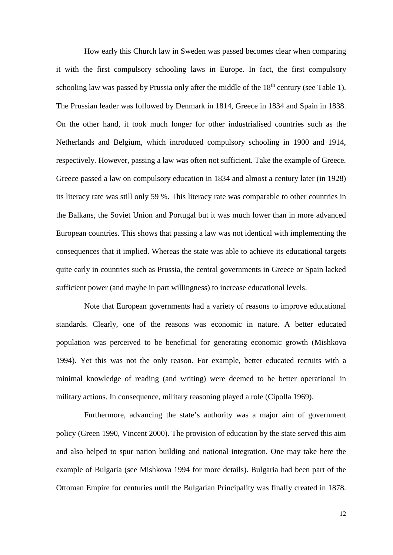How early this Church law in Sweden was passed becomes clear when comparing it with the first compulsory schooling laws in Europe. In fact, the first compulsory schooling law was passed by Prussia only after the middle of the  $18<sup>th</sup>$  century (see [Table 1\)](#page-30-0). The Prussian leader was followed by Denmark in 1814, Greece in 1834 and Spain in 1838. On the other hand, it took much longer for other industrialised countries such as the Netherlands and Belgium, which introduced compulsory schooling in 1900 and 1914, respectively. However, passing a law was often not sufficient. Take the example of Greece. Greece passed a law on compulsory education in 1834 and almost a century later (in 1928) its literacy rate was still only 59 %. This literacy rate was comparable to other countries in the Balkans, the Soviet Union and Portugal but it was much lower than in more advanced European countries. This shows that passing a law was not identical with implementing the consequences that it implied. Whereas the state was able to achieve its educational targets quite early in countries such as Prussia, the central governments in Greece or Spain lacked sufficient power (and maybe in part willingness) to increase educational levels.

Note that European governments had a variety of reasons to improve educational standards. Clearly, one of the reasons was economic in nature. A better educated population was perceived to be beneficial for generating economic growth (Mishkova 1994). Yet this was not the only reason. For example, better educated recruits with a minimal knowledge of reading (and writing) were deemed to be better operational in military actions. In consequence, military reasoning played a role (Cipolla 1969).

Furthermore, advancing the state's authority was a major aim of government policy (Green 1990, Vincent 2000). The provision of education by the state served this aim and also helped to spur nation building and national integration. One may take here the example of Bulgaria (see Mishkova 1994 for more details). Bulgaria had been part of the Ottoman Empire for centuries until the Bulgarian Principality was finally created in 1878.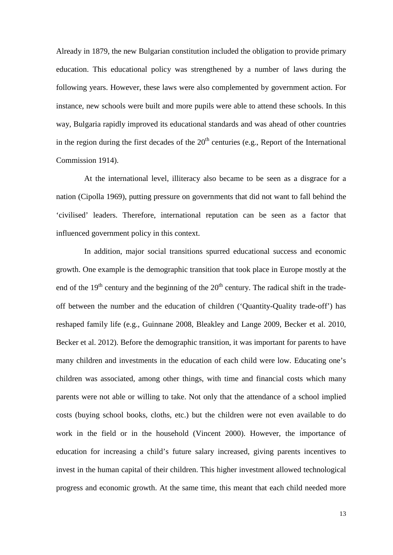Already in 1879, the new Bulgarian constitution included the obligation to provide primary education. This educational policy was strengthened by a number of laws during the following years. However, these laws were also complemented by government action. For instance, new schools were built and more pupils were able to attend these schools. In this way, Bulgaria rapidly improved its educational standards and was ahead of other countries in the region during the first decades of the  $20<sup>th</sup>$  centuries (e.g., Report of the International Commission 1914).

At the international level, illiteracy also became to be seen as a disgrace for a nation (Cipolla 1969), putting pressure on governments that did not want to fall behind the 'civilised' leaders. Therefore, international reputation can be seen as a factor that influenced government policy in this context.

In addition, major social transitions spurred educational success and economic growth. One example is the demographic transition that took place in Europe mostly at the end of the  $19<sup>th</sup>$  century and the beginning of the  $20<sup>th</sup>$  century. The radical shift in the tradeoff between the number and the education of children ('Quantity-Quality trade-off') has reshaped family life (e.g., Guinnane 2008, Bleakley and Lange 2009, Becker et al. 2010, Becker et al. 2012). Before the demographic transition, it was important for parents to have many children and investments in the education of each child were low. Educating one's children was associated, among other things, with time and financial costs which many parents were not able or willing to take. Not only that the attendance of a school implied costs (buying school books, cloths, etc.) but the children were not even available to do work in the field or in the household (Vincent 2000). However, the importance of education for increasing a child's future salary increased, giving parents incentives to invest in the human capital of their children. This higher investment allowed technological progress and economic growth. At the same time, this meant that each child needed more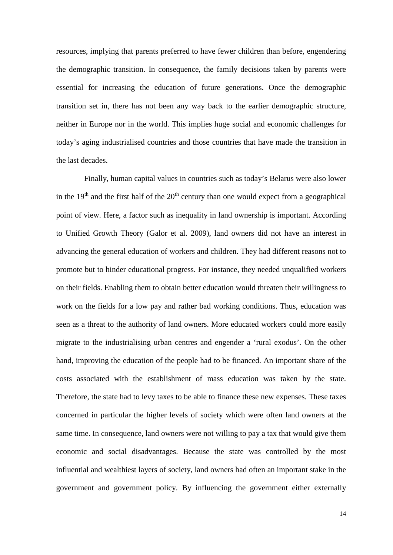resources, implying that parents preferred to have fewer children than before, engendering the demographic transition. In consequence, the family decisions taken by parents were essential for increasing the education of future generations. Once the demographic transition set in, there has not been any way back to the earlier demographic structure, neither in Europe nor in the world. This implies huge social and economic challenges for today's aging industrialised countries and those countries that have made the transition in the last decades.

Finally, human capital values in countries such as today's Belarus were also lower in the  $19<sup>th</sup>$  and the first half of the  $20<sup>th</sup>$  century than one would expect from a geographical point of view. Here, a factor such as inequality in land ownership is important. According to Unified Growth Theory (Galor et al. 2009), land owners did not have an interest in advancing the general education of workers and children. They had different reasons not to promote but to hinder educational progress. For instance, they needed unqualified workers on their fields. Enabling them to obtain better education would threaten their willingness to work on the fields for a low pay and rather bad working conditions. Thus, education was seen as a threat to the authority of land owners. More educated workers could more easily migrate to the industrialising urban centres and engender a 'rural exodus'. On the other hand, improving the education of the people had to be financed. An important share of the costs associated with the establishment of mass education was taken by the state. Therefore, the state had to levy taxes to be able to finance these new expenses. These taxes concerned in particular the higher levels of society which were often land owners at the same time. In consequence, land owners were not willing to pay a tax that would give them economic and social disadvantages. Because the state was controlled by the most influential and wealthiest layers of society, land owners had often an important stake in the government and government policy. By influencing the government either externally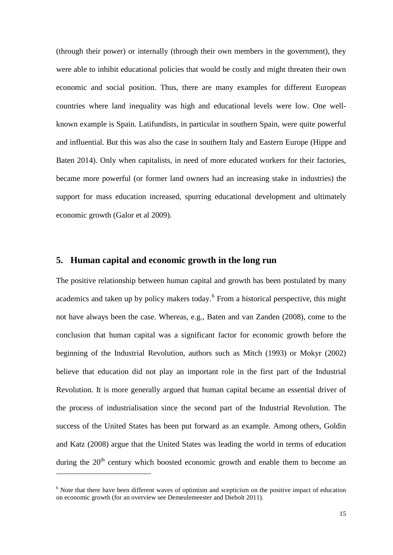(through their power) or internally (through their own members in the government), they were able to inhibit educational policies that would be costly and might threaten their own economic and social position. Thus, there are many examples for different European countries where land inequality was high and educational levels were low. One wellknown example is Spain. Latifundists, in particular in southern Spain, were quite powerful and influential. But this was also the case in southern Italy and Eastern Europe (Hippe and Baten 2014). Only when capitalists, in need of more educated workers for their factories, became more powerful (or former land owners had an increasing stake in industries) the support for mass education increased, spurring educational development and ultimately economic growth (Galor et al 2009).

#### **5. Human capital and economic growth in the long run**

The positive relationship between human capital and growth has been postulated by many academics and taken up by policy makers today.<sup>[6](#page-11-0)</sup> From a historical perspective, this might not have always been the case. Whereas, e.g., Baten and van Zanden (2008), come to the conclusion that human capital was a significant factor for economic growth before the beginning of the Industrial Revolution, authors such as Mitch (1993) or Mokyr (2002) believe that education did not play an important role in the first part of the Industrial Revolution. It is more generally argued that human capital became an essential driver of the process of industrialisation since the second part of the Industrial Revolution. The success of the United States has been put forward as an example. Among others, Goldin and Katz (2008) argue that the United States was leading the world in terms of education during the  $20<sup>th</sup>$  century which boosted economic growth and enable them to become an

<u>.</u>

<span id="page-15-0"></span><sup>&</sup>lt;sup>6</sup> Note that there have been different waves of optimism and scepticism on the positive impact of education on economic growth (for an overview see Demeulemeester and Diebolt 2011).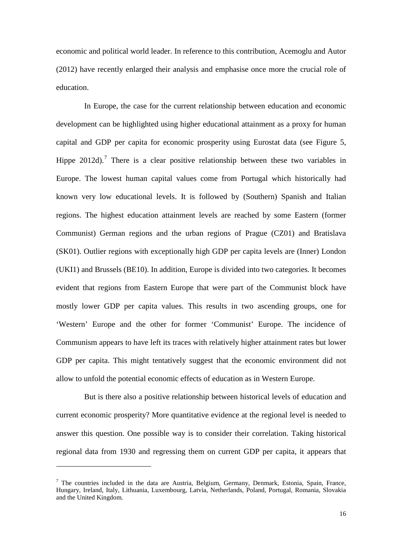economic and political world leader. In reference to this contribution, Acemoglu and Autor (2012) have recently enlarged their analysis and emphasise once more the crucial role of education.

In Europe, the case for the current relationship between education and economic development can be highlighted using higher educational attainment as a proxy for human capital and GDP per capita for economic prosperity using Eurostat data (see [Figure 5,](#page-35-0) Hippe 2012d).<sup>[7](#page-15-0)</sup> There is a clear positive relationship between these two variables in Europe. The lowest human capital values come from Portugal which historically had known very low educational levels. It is followed by (Southern) Spanish and Italian regions. The highest education attainment levels are reached by some Eastern (former Communist) German regions and the urban regions of Prague (CZ01) and Bratislava (SK01). Outlier regions with exceptionally high GDP per capita levels are (Inner) London (UKI1) and Brussels (BE10). In addition, Europe is divided into two categories. It becomes evident that regions from Eastern Europe that were part of the Communist block have mostly lower GDP per capita values. This results in two ascending groups, one for 'Western' Europe and the other for former 'Communist' Europe. The incidence of Communism appears to have left its traces with relatively higher attainment rates but lower GDP per capita. This might tentatively suggest that the economic environment did not allow to unfold the potential economic effects of education as in Western Europe.

But is there also a positive relationship between historical levels of education and current economic prosperity? More quantitative evidence at the regional level is needed to answer this question. One possible way is to consider their correlation. Taking historical regional data from 1930 and regressing them on current GDP per capita, it appears that

<span id="page-16-0"></span><u>.</u>

 $<sup>7</sup>$  The countries included in the data are Austria, Belgium, Germany, Denmark, Estonia, Spain, France,</sup> Hungary, Ireland, Italy, Lithuania, Luxembourg, Latvia, Netherlands, Poland, Portugal, Romania, Slovakia and the United Kingdom.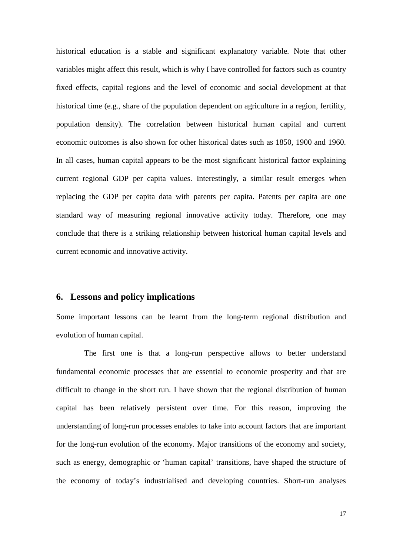historical education is a stable and significant explanatory variable. Note that other variables might affect this result, which is why I have controlled for factors such as country fixed effects, capital regions and the level of economic and social development at that historical time (e.g., share of the population dependent on agriculture in a region, fertility, population density). The correlation between historical human capital and current economic outcomes is also shown for other historical dates such as 1850, 1900 and 1960. In all cases, human capital appears to be the most significant historical factor explaining current regional GDP per capita values. Interestingly, a similar result emerges when replacing the GDP per capita data with patents per capita. Patents per capita are one standard way of measuring regional innovative activity today. Therefore, one may conclude that there is a striking relationship between historical human capital levels and current economic and innovative activity.

#### **6. Lessons and policy implications**

Some important lessons can be learnt from the long-term regional distribution and evolution of human capital.

The first one is that a long-run perspective allows to better understand fundamental economic processes that are essential to economic prosperity and that are difficult to change in the short run. I have shown that the regional distribution of human capital has been relatively persistent over time. For this reason, improving the understanding of long-run processes enables to take into account factors that are important for the long-run evolution of the economy. Major transitions of the economy and society, such as energy, demographic or 'human capital' transitions, have shaped the structure of the economy of today's industrialised and developing countries. Short-run analyses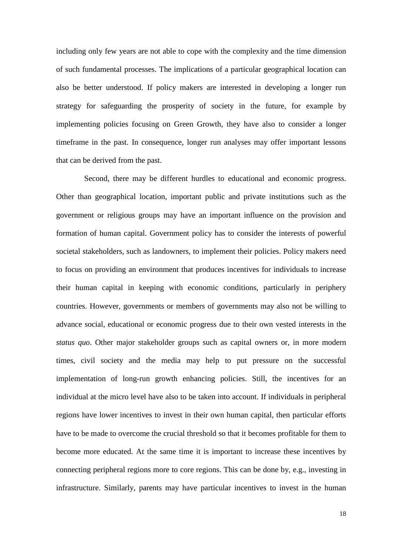including only few years are not able to cope with the complexity and the time dimension of such fundamental processes. The implications of a particular geographical location can also be better understood. If policy makers are interested in developing a longer run strategy for safeguarding the prosperity of society in the future, for example by implementing policies focusing on Green Growth, they have also to consider a longer timeframe in the past. In consequence, longer run analyses may offer important lessons that can be derived from the past.

Second, there may be different hurdles to educational and economic progress. Other than geographical location, important public and private institutions such as the government or religious groups may have an important influence on the provision and formation of human capital. Government policy has to consider the interests of powerful societal stakeholders, such as landowners, to implement their policies. Policy makers need to focus on providing an environment that produces incentives for individuals to increase their human capital in keeping with economic conditions, particularly in periphery countries. However, governments or members of governments may also not be willing to advance social, educational or economic progress due to their own vested interests in the *status quo*. Other major stakeholder groups such as capital owners or, in more modern times, civil society and the media may help to put pressure on the successful implementation of long-run growth enhancing policies. Still, the incentives for an individual at the micro level have also to be taken into account. If individuals in peripheral regions have lower incentives to invest in their own human capital, then particular efforts have to be made to overcome the crucial threshold so that it becomes profitable for them to become more educated. At the same time it is important to increase these incentives by connecting peripheral regions more to core regions. This can be done by, e.g., investing in infrastructure. Similarly, parents may have particular incentives to invest in the human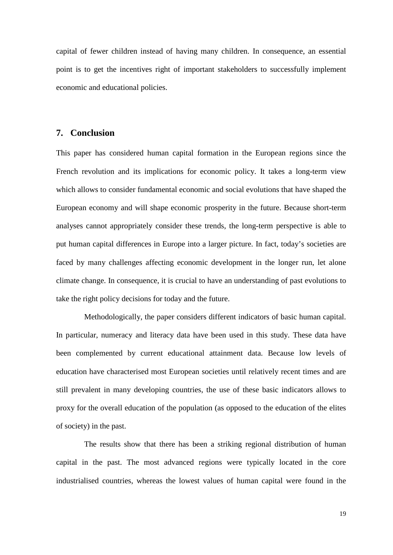capital of fewer children instead of having many children. In consequence, an essential point is to get the incentives right of important stakeholders to successfully implement economic and educational policies.

#### **7. Conclusion**

This paper has considered human capital formation in the European regions since the French revolution and its implications for economic policy. It takes a long-term view which allows to consider fundamental economic and social evolutions that have shaped the European economy and will shape economic prosperity in the future. Because short-term analyses cannot appropriately consider these trends, the long-term perspective is able to put human capital differences in Europe into a larger picture. In fact, today's societies are faced by many challenges affecting economic development in the longer run, let alone climate change. In consequence, it is crucial to have an understanding of past evolutions to take the right policy decisions for today and the future.

Methodologically, the paper considers different indicators of basic human capital. In particular, numeracy and literacy data have been used in this study. These data have been complemented by current educational attainment data. Because low levels of education have characterised most European societies until relatively recent times and are still prevalent in many developing countries, the use of these basic indicators allows to proxy for the overall education of the population (as opposed to the education of the elites of society) in the past.

The results show that there has been a striking regional distribution of human capital in the past. The most advanced regions were typically located in the core industrialised countries, whereas the lowest values of human capital were found in the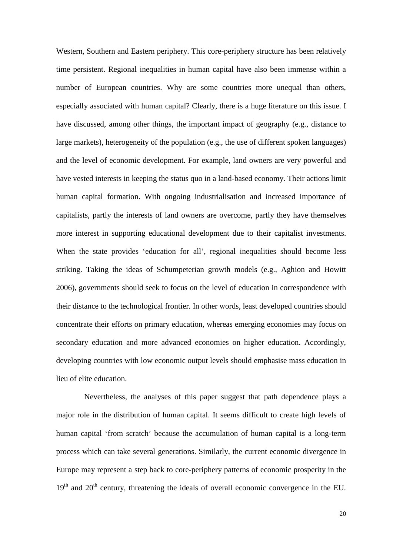Western, Southern and Eastern periphery. This core-periphery structure has been relatively time persistent. Regional inequalities in human capital have also been immense within a number of European countries. Why are some countries more unequal than others, especially associated with human capital? Clearly, there is a huge literature on this issue. I have discussed, among other things, the important impact of geography (e.g., distance to large markets), heterogeneity of the population (e.g., the use of different spoken languages) and the level of economic development. For example, land owners are very powerful and have vested interests in keeping the status quo in a land-based economy. Their actions limit human capital formation. With ongoing industrialisation and increased importance of capitalists, partly the interests of land owners are overcome, partly they have themselves more interest in supporting educational development due to their capitalist investments. When the state provides 'education for all', regional inequalities should become less striking. Taking the ideas of Schumpeterian growth models (e.g., Aghion and Howitt 2006), governments should seek to focus on the level of education in correspondence with their distance to the technological frontier. In other words, least developed countries should concentrate their efforts on primary education, whereas emerging economies may focus on secondary education and more advanced economies on higher education. Accordingly, developing countries with low economic output levels should emphasise mass education in lieu of elite education.

Nevertheless, the analyses of this paper suggest that path dependence plays a major role in the distribution of human capital. It seems difficult to create high levels of human capital 'from scratch' because the accumulation of human capital is a long-term process which can take several generations. Similarly, the current economic divergence in Europe may represent a step back to core-periphery patterns of economic prosperity in the  $19<sup>th</sup>$  and  $20<sup>th</sup>$  century, threatening the ideals of overall economic convergence in the EU.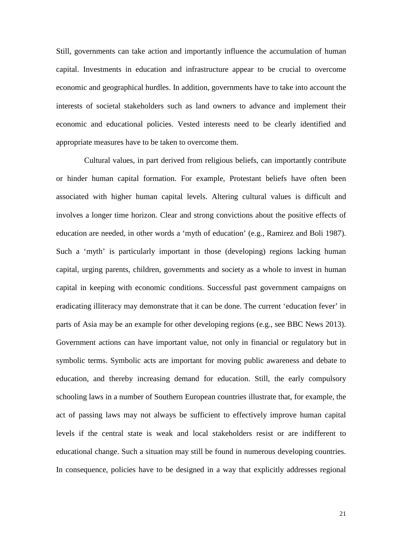Still, governments can take action and importantly influence the accumulation of human capital. Investments in education and infrastructure appear to be crucial to overcome economic and geographical hurdles. In addition, governments have to take into account the interests of societal stakeholders such as land owners to advance and implement their economic and educational policies. Vested interests need to be clearly identified and appropriate measures have to be taken to overcome them.

Cultural values, in part derived from religious beliefs, can importantly contribute or hinder human capital formation. For example, Protestant beliefs have often been associated with higher human capital levels. Altering cultural values is difficult and involves a longer time horizon. Clear and strong convictions about the positive effects of education are needed, in other words a 'myth of education' (e.g., Ramirez and Boli 1987). Such a 'myth' is particularly important in those (developing) regions lacking human capital, urging parents, children, governments and society as a whole to invest in human capital in keeping with economic conditions. Successful past government campaigns on eradicating illiteracy may demonstrate that it can be done. The current 'education fever' in parts of Asia may be an example for other developing regions (e.g., see BBC News 2013). Government actions can have important value, not only in financial or regulatory but in symbolic terms. Symbolic acts are important for moving public awareness and debate to education, and thereby increasing demand for education. Still, the early compulsory schooling laws in a number of Southern European countries illustrate that, for example, the act of passing laws may not always be sufficient to effectively improve human capital levels if the central state is weak and local stakeholders resist or are indifferent to educational change. Such a situation may still be found in numerous developing countries. In consequence, policies have to be designed in a way that explicitly addresses regional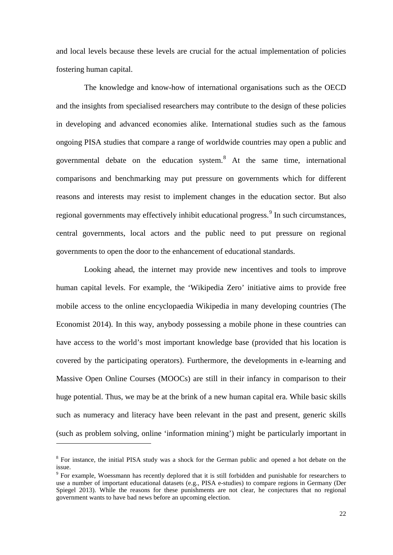and local levels because these levels are crucial for the actual implementation of policies fostering human capital.

The knowledge and know-how of international organisations such as the OECD and the insights from specialised researchers may contribute to the design of these policies in developing and advanced economies alike. International studies such as the famous ongoing PISA studies that compare a range of worldwide countries may open a public and governmental debate on the education system. $8$  At the same time, international comparisons and benchmarking may put pressure on governments which for different reasons and interests may resist to implement changes in the education sector. But also regional governments may effectively inhibit educational progress.<sup>[9](#page-22-0)</sup> In such circumstances, central governments, local actors and the public need to put pressure on regional governments to open the door to the enhancement of educational standards.

Looking ahead, the internet may provide new incentives and tools to improve human capital levels. For example, the 'Wikipedia Zero' initiative aims to provide free mobile access to the online encyclopaedia Wikipedia in many developing countries (The Economist 2014). In this way, anybody possessing a mobile phone in these countries can have access to the world's most important knowledge base (provided that his location is covered by the participating operators). Furthermore, the developments in e-learning and Massive Open Online Courses (MOOCs) are still in their infancy in comparison to their huge potential. Thus, we may be at the brink of a new human capital era. While basic skills such as numeracy and literacy have been relevant in the past and present, generic skills (such as problem solving, online 'information mining') might be particularly important in

1

<sup>&</sup>lt;sup>8</sup> For instance, the initial PISA study was a shock for the German public and opened a hot debate on the issue.

<span id="page-22-0"></span><sup>9</sup> For example, Woessmann has recently deplored that it is still forbidden and punishable for researchers to use a number of important educational datasets (e.g., PISA e-studies) to compare regions in Germany (Der Spiegel 2013). While the reasons for these punishments are not clear, he conjectures that no regional government wants to have bad news before an upcoming election.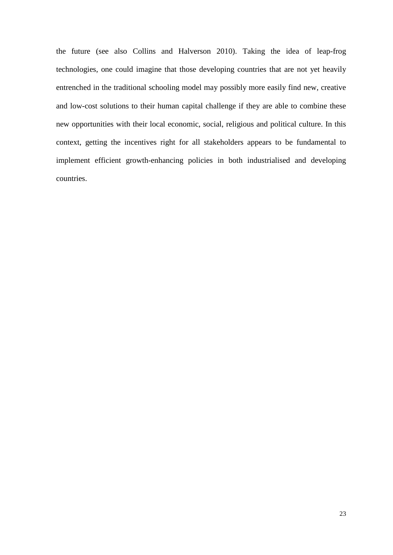the future (see also Collins and Halverson 2010). Taking the idea of leap-frog technologies, one could imagine that those developing countries that are not yet heavily entrenched in the traditional schooling model may possibly more easily find new, creative and low-cost solutions to their human capital challenge if they are able to combine these new opportunities with their local economic, social, religious and political culture. In this context, getting the incentives right for all stakeholders appears to be fundamental to implement efficient growth-enhancing policies in both industrialised and developing countries.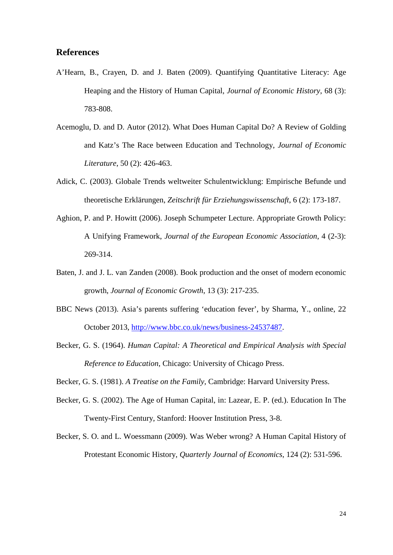#### **References**

- A'Hearn, B., Crayen, D. and J. Baten (2009). Quantifying Quantitative Literacy: Age Heaping and the History of Human Capital, *Journal of Economic History*, 68 (3): 783-808.
- Acemoglu, D. and D. Autor (2012). What Does Human Capital Do? A Review of Golding and Katz's The Race between Education and Technology, *Journal of Economic Literature*, 50 (2): 426-463.
- Adick, C. (2003). Globale Trends weltweiter Schulentwicklung: Empirische Befunde und theoretische Erklärungen, *Zeitschrift für Erziehungswissenschaft*, 6 (2): 173-187.
- Aghion, P. and P. Howitt (2006). Joseph Schumpeter Lecture. Appropriate Growth Policy: A Unifying Framework, *Journal of the European Economic Association*, 4 (2-3): 269-314.
- Baten, J. and J. L. van Zanden (2008). Book production and the onset of modern economic growth, *Journal of Economic Growth*, 13 (3): 217-235.
- BBC News (2013). Asia's parents suffering 'education fever', by Sharma, Y., online, 22 October 2013, [http://www.bbc.co.uk/news/business-24537487.](http://www.bbc.co.uk/news/business-24537487)
- Becker, G. S. (1964). *Human Capital: A Theoretical and Empirical Analysis with Special Reference to Education*, Chicago: University of Chicago Press.
- Becker, G. S. (1981). *A Treatise on the Family*, Cambridge: Harvard University Press.
- Becker, G. S. (2002). The Age of Human Capital, in: Lazear, E. P. (ed.). Education In The Twenty-First Century, Stanford: Hoover Institution Press, 3-8.
- Becker, S. O. and L. Woessmann (2009). Was Weber wrong? A Human Capital History of Protestant Economic History, *Quarterly Journal of Economics*, 124 (2): 531-596.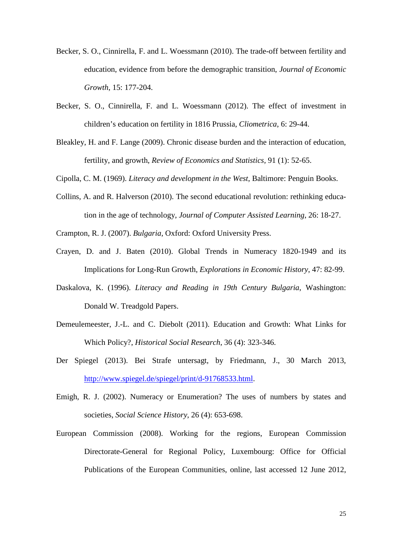- Becker, S. O., Cinnirella, F. and L. Woessmann (2010). The trade-off between fertility and education, evidence from before the demographic transition, *Journal of Economic Growth*, 15: 177-204.
- Becker, S. O., Cinnirella, F. and L. Woessmann (2012). The effect of investment in children's education on fertility in 1816 Prussia, *Cliometrica*, 6: 29-44.
- Bleakley, H. and F. Lange (2009). Chronic disease burden and the interaction of education, fertility, and growth, *Review of Economics and Statistics,* 91 (1): 52-65.
- Cipolla, C. M. (1969). *Literacy and development in the West*, Baltimore: Penguin Books.
- Collins, A. and R. Halverson (2010). The second educational revolution: rethinking education in the age of technology, *Journal of Computer Assisted Learning*, 26: 18-27.
- Crampton, R. J. (2007). *Bulgaria*, Oxford: Oxford University Press.
- Crayen, D. and J. Baten (2010). Global Trends in Numeracy 1820-1949 and its Implications for Long-Run Growth, *Explorations in Economic History*, 47: 82-99.
- Daskalova, K. (1996). *Literacy and Reading in 19th Century Bulgaria*, Washington: Donald W. Treadgold Papers.
- Demeulemeester, J.-L. and C. Diebolt (2011). Education and Growth: What Links for Which Policy?, *Historical Social Research*, 36 (4): 323-346.
- Der Spiegel (2013). Bei Strafe untersagt, by Friedmann, J., 30 March 2013, [http://www.spiegel.de/spiegel/print/d-91768533.html.](http://www.spiegel.de/spiegel/print/d-91768533.html)
- Emigh, R. J. (2002). Numeracy or Enumeration? The uses of numbers by states and societies, *Social Science History*, 26 (4): 653-698.
- European Commission (2008). Working for the regions, European Commission Directorate-General for Regional Policy, Luxembourg: Office for Official Publications of the European Communities, online, last accessed 12 June 2012,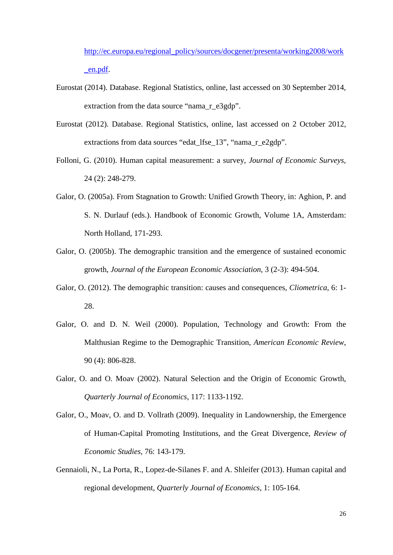[http://ec.europa.eu/regional\\_policy/sources/docgener/presenta/working2008/work](http://ec.europa.eu/regional_policy/sources/docgener/presenta/working2008/work_en.pdf) [\\_en.pdf.](http://ec.europa.eu/regional_policy/sources/docgener/presenta/working2008/work_en.pdf)

- Eurostat (2014). Database. Regional Statistics, online, last accessed on 30 September 2014, extraction from the data source "nama\_r\_e3gdp".
- Eurostat (2012). Database. Regional Statistics, online, last accessed on 2 October 2012, extractions from data sources "edat lfse 13", "nama r e2gdp".
- Folloni, G. (2010). Human capital measurement: a survey, *Journal of Economic Surveys*, 24 (2): 248-279.
- Galor, O. (2005a). From Stagnation to Growth: Unified Growth Theory, in: Aghion, P. and S. N. Durlauf (eds.). Handbook of Economic Growth, Volume 1A, Amsterdam: North Holland, 171-293.
- Galor, O. (2005b). The demographic transition and the emergence of sustained economic growth, *Journal of the European Economic Association*, 3 (2-3): 494-504.
- Galor, O. (2012). The demographic transition: causes and consequences, *Cliometrica*, 6: 1- 28.
- Galor, O. and D. N. Weil (2000). Population, Technology and Growth: From the Malthusian Regime to the Demographic Transition, *American Economic Review*, 90 (4): 806-828.
- Galor, O. and O. Moav (2002). Natural Selection and the Origin of Economic Growth, *Quarterly Journal of Economics*, 117: 1133-1192.
- Galor, O., Moav, O. and D. Vollrath (2009). Inequality in Landownership, the Emergence of Human-Capital Promoting Institutions, and the Great Divergence, *Review of Economic Studies*, 76: 143-179.
- Gennaioli, N., La Porta, R., Lopez-de-Silanes F. and A. Shleifer (2013). Human capital and regional development, *Quarterly Journal of Economics*, 1: 105-164.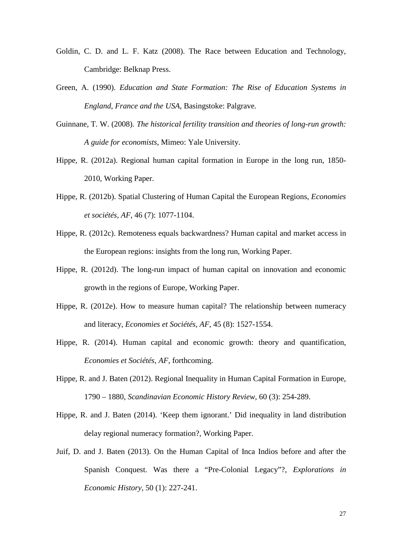- Goldin, C. D. and L. F. Katz (2008). The Race between Education and Technology, Cambridge: Belknap Press.
- Green, A. (1990). *Education and State Formation: The Rise of Education Systems in England, France and the USA*, Basingstoke: Palgrave.
- Guinnane, T. W. (2008). *The historical fertility transition and theories of long-run growth: A guide for economists*, Mimeo: Yale University.
- Hippe, R. (2012a). Regional human capital formation in Europe in the long run, 1850- 2010, Working Paper.
- Hippe, R. (2012b). Spatial Clustering of Human Capital the European Regions, *Economies et sociétés, AF*, 46 (7): 1077-1104.
- Hippe, R. (2012c). Remoteness equals backwardness? Human capital and market access in the European regions: insights from the long run, Working Paper.
- Hippe, R. (2012d). The long-run impact of human capital on innovation and economic growth in the regions of Europe, Working Paper.
- Hippe, R. (2012e). How to measure human capital? The relationship between numeracy and literacy, *Economies et Sociétés, AF*, 45 (8): 1527-1554.
- Hippe, R. (2014). Human capital and economic growth: theory and quantification, *Economies et Sociétés, AF*, forthcoming.
- Hippe, R. and J. Baten (2012). Regional Inequality in Human Capital Formation in Europe, 1790 – 1880, *Scandinavian Economic History Review*, 60 (3): 254-289.
- Hippe, R. and J. Baten (2014). 'Keep them ignorant.' Did inequality in land distribution delay regional numeracy formation?, Working Paper.
- Juif, D. and J. Baten (2013). On the Human Capital of Inca Indios before and after the Spanish Conquest. Was there a "Pre-Colonial Legacy"?, *Explorations in Economic History*, 50 (1): 227-241.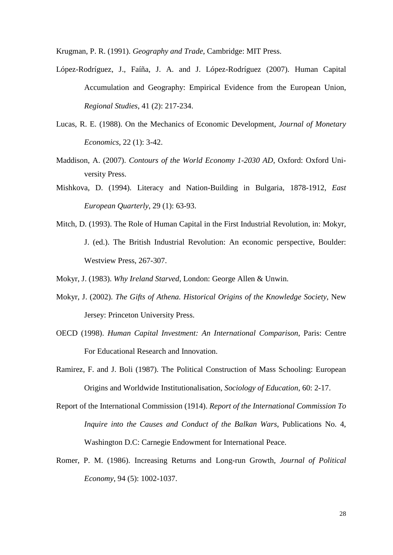Krugman, P. R. (1991). *Geography and Trade*, Cambridge: MIT Press.

- López-Rodríguez, J., Faíña, J. A. and J. López-Rodríguez (2007). Human Capital Accumulation and Geography: Empirical Evidence from the European Union, *Regional Studies*, 41 (2): 217-234.
- Lucas, R. E. (1988). On the Mechanics of Economic Development, *Journal of Monetary Economics*, 22 (1): 3-42.
- Maddison, A. (2007). *Contours of the World Economy 1-2030 AD*, Oxford: Oxford University Press.
- Mishkova, D. (1994). Literacy and Nation-Building in Bulgaria, 1878-1912, *East European Quarterly*, 29 (1): 63-93.
- Mitch, D. (1993). The Role of Human Capital in the First Industrial Revolution, in: Mokyr, J. (ed.). The British Industrial Revolution: An economic perspective, Boulder: Westview Press, 267-307.
- Mokyr, J. (1983). *Why Ireland Starved*, London: George Allen & Unwin.
- Mokyr, J. (2002). *The Gifts of Athena. Historical Origins of the Knowledge Society*, New Jersey: Princeton University Press.
- OECD (1998). *Human Capital Investment: An International Comparison*, Paris: Centre For Educational Research and Innovation.
- Ramirez, F. and J. Boli (1987). The Political Construction of Mass Schooling: European Origins and Worldwide Institutionalisation, *Sociology of Education*, 60: 2-17.
- Report of the International Commission (1914). *Report of the International Commission To Inquire into the Causes and Conduct of the Balkan Wars*, Publications No. 4, Washington D.C: Carnegie Endowment for International Peace.
- Romer, P. M. (1986). Increasing Returns and Long-run Growth, *Journal of Political Economy*, 94 (5): 1002-1037.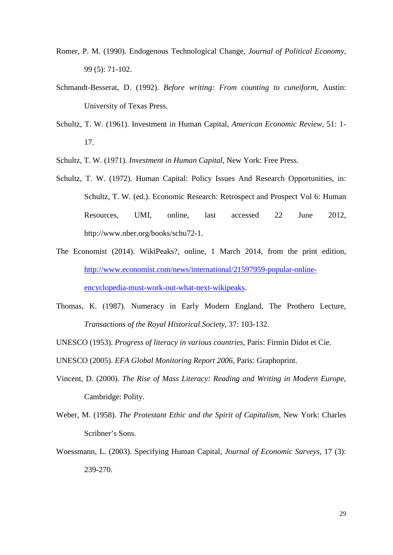- Romer, P. M. (1990). Endogenous Technological Change, *Journal of Political Economy*, 99 (5): 71-102.
- Schmandt-Besserat, D. (1992). *Before writing: From counting to cuneiform*, Austin: University of Texas Press.
- Schultz, T. W. (1961). Investment in Human Capital, *American Economic Review*, 51: 1- 17.
- Schultz, T. W. (1971). *Investment in Human Capital*, New York: Free Press.
- Schultz, T. W. (1972). Human Capital: Policy Issues And Research Opportunities, in: Schultz, T. W. (ed.). Economic Research: Retrospect and Prospect Vol 6: Human Resources, UMI, online, last accessed 22 June 2012, http://www.nber.org/books/schu72-1.
- The Economist (2014). WikiPeaks?, online, 1 March 2014, from the print edition, [http://www.economist.com/news/international/21597959-popular-online](http://www.economist.com/news/international/21597959-popular-online-encyclopedia-must-work-out-what-next-wikipeaks)[encyclopedia-must-work-out-what-next-wikipeaks.](http://www.economist.com/news/international/21597959-popular-online-encyclopedia-must-work-out-what-next-wikipeaks)
- Thomas, K. (1987). Numeracy in Early Modern England, The Prothero Lecture, *Transactions of the Royal Historical Society*, 37: 103-132.
- UNESCO (1953). *Progress of literacy in various countries*, Paris: Firmin Didot et Cie.
- UNESCO (2005). *EFA Global Monitoring Report 2006*, Paris: Graphoprint.
- Vincent, D. (2000). *The Rise of Mass Literacy: Reading and Writing in Modern Europe*, Cambridge: Polity.
- Weber, M. (1958). *The Protestant Ethic and the Spirit of Capitalism*, New York: Charles Scribner's Sons.
- Woessmann, L. (2003). Specifying Human Capital, *Journal of Economic Surveys*, 17 (3): 239-270.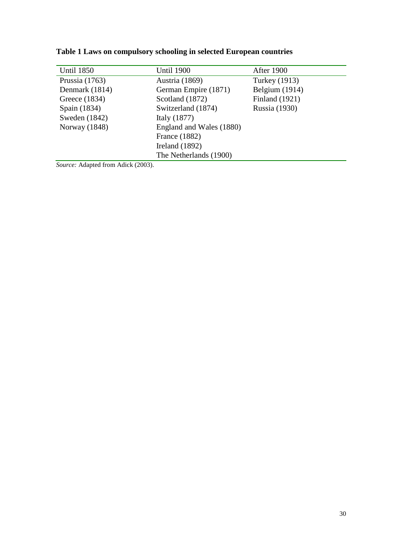| <b>Until 1850</b>                                 | <b>Until 1900</b>        | <b>After 1900</b>     |
|---------------------------------------------------|--------------------------|-----------------------|
| Prussia $(1763)$                                  | Austria (1869)           | Turkey (1913)         |
| Denmark (1814)                                    | German Empire (1871)     | Belgium (1914)        |
| Greece (1834)                                     | Scotland (1872)          | <b>Finland</b> (1921) |
| Spain (1834)                                      | Switzerland (1874)       | Russia (1930)         |
| Sweden $(1842)$                                   | Italy $(1877)$           |                       |
| Norway (1848)                                     | England and Wales (1880) |                       |
|                                                   | France (1882)            |                       |
|                                                   | Ireland $(1892)$         |                       |
|                                                   | The Netherlands (1900)   |                       |
| $S_{\text{current}}$ , Adopted from Adials (2002) |                          |                       |

<span id="page-30-0"></span>**Table 1 Laws on compulsory schooling in selected European countries**

*Source:* Adapted from Adick (2003).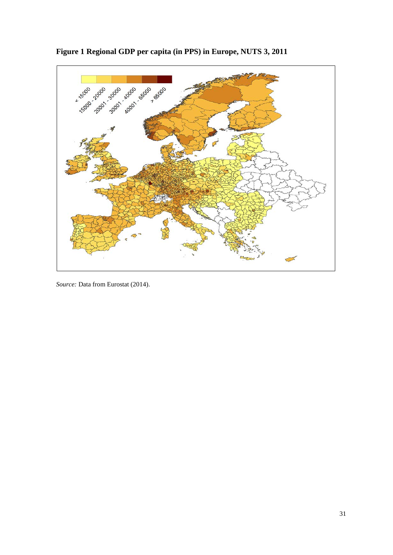

<span id="page-31-0"></span>**Figure 1 Regional GDP per capita (in PPS) in Europe, NUTS 3, 2011**

*Source:* Data from Eurostat (2014).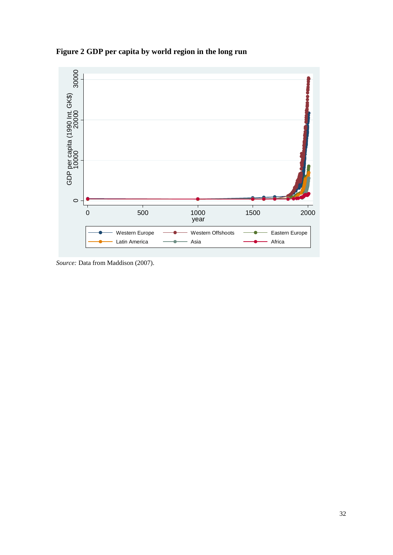<span id="page-32-0"></span>**Figure 2 GDP per capita by world region in the long run**



*Source:* Data from Maddison (2007).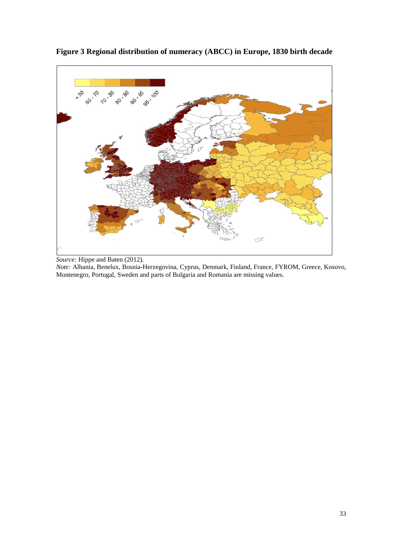

<span id="page-33-0"></span>**Figure 3 Regional distribution of numeracy (ABCC) in Europe, 1830 birth decade**

*Source:* Hippe and Baten (2012).

*Note:* Albania, Benelux, Bosnia-Herzegovina, Cyprus, Denmark, Finland, France, FYROM, Greece, Kosovo, Montenegro, Portugal, Sweden and parts of Bulgaria and Romania are missing values.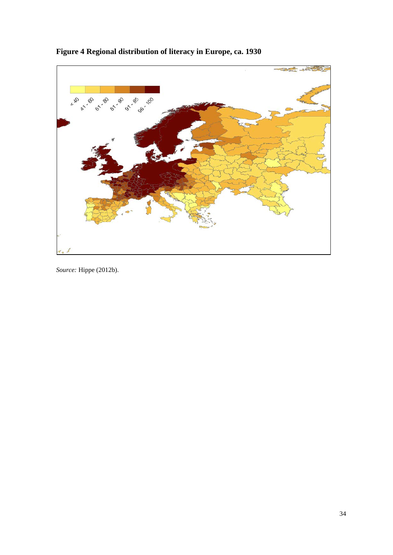

## <span id="page-34-0"></span>**Figure 4 Regional distribution of literacy in Europe, ca. 1930**

*Source:* Hippe (2012b).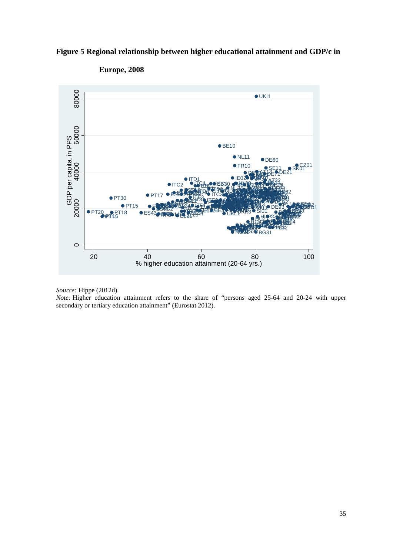<span id="page-35-0"></span>



**Europe, 2008**

*Source:* Hippe (2012d).

*Note:* Higher education attainment refers to the share of "persons aged 25-64 and 20-24 with upper secondary or tertiary education attainment" (Eurostat 2012).